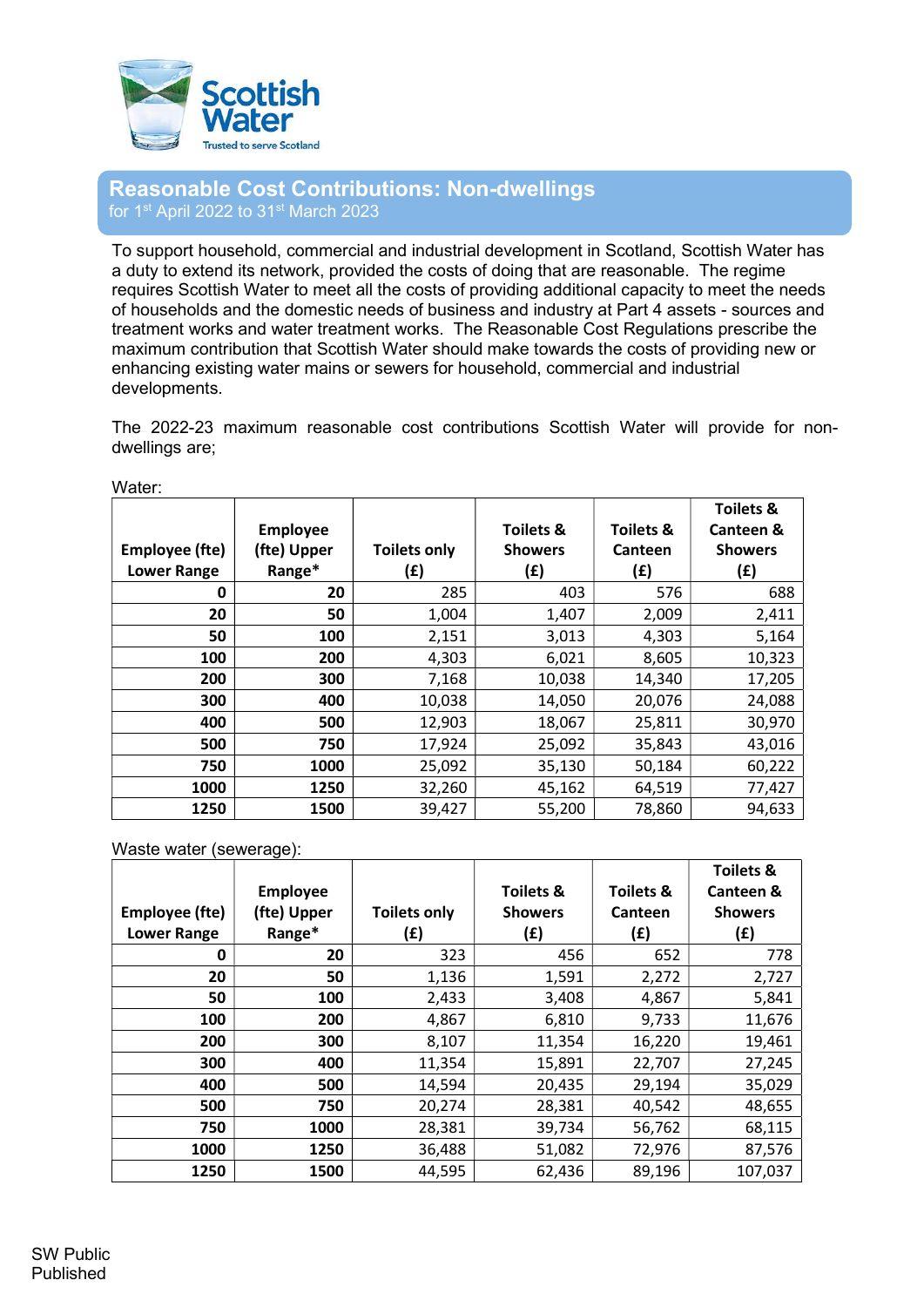

## Reasonable Cost Contributions: Non-dwellings for 1<sup>st</sup> April 2022 to 31<sup>st</sup> March 2023

To support household, commercial and industrial development in Scotland, Scottish Water has a duty to extend its network, provided the costs of doing that are reasonable. The regime requires Scottish Water to meet all the costs of providing additional capacity to meet the needs of households and the domestic needs of business and industry at Part 4 assets - sources and treatment works and water treatment works. The Reasonable Cost Regulations prescribe the maximum contribution that Scottish Water should make towards the costs of providing new or enhancing existing water mains or sewers for household, commercial and industrial developments.

The 2022-23 maximum reasonable cost contributions Scottish Water will provide for nondwellings are;

| Employee (fte)     | <b>Employee</b><br>(fte) Upper | <b>Toilets only</b> | <b>Toilets &amp;</b><br><b>Showers</b> | <b>Toilets &amp;</b><br>Canteen | <b>Toilets &amp;</b><br><b>Canteen &amp;</b><br><b>Showers</b> |
|--------------------|--------------------------------|---------------------|----------------------------------------|---------------------------------|----------------------------------------------------------------|
| <b>Lower Range</b> | Range*                         | (£)                 | (£)                                    | (£)                             | (£)                                                            |
| 0                  | 20                             | 285                 | 403                                    | 576                             | 688                                                            |
| 20                 | 50                             | 1,004               | 1,407                                  | 2,009                           | 2,411                                                          |
| 50                 | 100                            | 2,151               | 3,013                                  | 4,303                           | 5,164                                                          |
| 100                | 200                            | 4,303               | 6,021                                  | 8,605                           | 10,323                                                         |
| 200                | 300                            | 7,168               | 10,038                                 | 14,340                          | 17,205                                                         |
| 300                | 400                            | 10,038              | 14,050                                 | 20,076                          | 24,088                                                         |
| 400                | 500                            | 12,903              | 18,067                                 | 25,811                          | 30,970                                                         |
| 500                | 750                            | 17,924              | 25,092                                 | 35,843                          | 43,016                                                         |
| 750                | 1000                           | 25,092              | 35,130                                 | 50,184                          | 60,222                                                         |
| 1000               | 1250                           | 32,260              | 45,162                                 | 64,519                          | 77,427                                                         |
| 1250               | 1500                           | 39,427              | 55,200                                 | 78,860                          | 94,633                                                         |

Water:

Waste water (sewerage):

|                    |                 |                     |                      |                      | <b>Toilets &amp;</b> |
|--------------------|-----------------|---------------------|----------------------|----------------------|----------------------|
|                    | <b>Employee</b> |                     | <b>Toilets &amp;</b> | <b>Toilets &amp;</b> | Canteen &            |
| Employee (fte)     | (fte) Upper     | <b>Toilets only</b> | <b>Showers</b>       | Canteen              | <b>Showers</b>       |
| <b>Lower Range</b> | Range*          | (£)                 | (£)                  | (£)                  | (£)                  |
| 0                  | 20              | 323                 | 456                  | 652                  | 778                  |
| 20                 | 50              | 1,136               | 1,591                | 2,272                | 2,727                |
| 50                 | 100             | 2,433               | 3,408                | 4,867                | 5,841                |
| 100                | 200             | 4,867               | 6,810                | 9,733                | 11,676               |
| 200                | 300             | 8,107               | 11,354               | 16,220               | 19,461               |
| 300                | 400             | 11,354              | 15,891               | 22,707               | 27,245               |
| 400                | 500             | 14,594              | 20,435               | 29,194               | 35,029               |
| 500                | 750             | 20,274              | 28,381               | 40,542               | 48,655               |
| 750                | 1000            | 28,381              | 39,734               | 56,762               | 68,115               |
| 1000               | 1250            | 36,488              | 51,082               | 72,976               | 87,576               |
| 1250               | 1500            | 44,595              | 62,436               | 89,196               | 107,037              |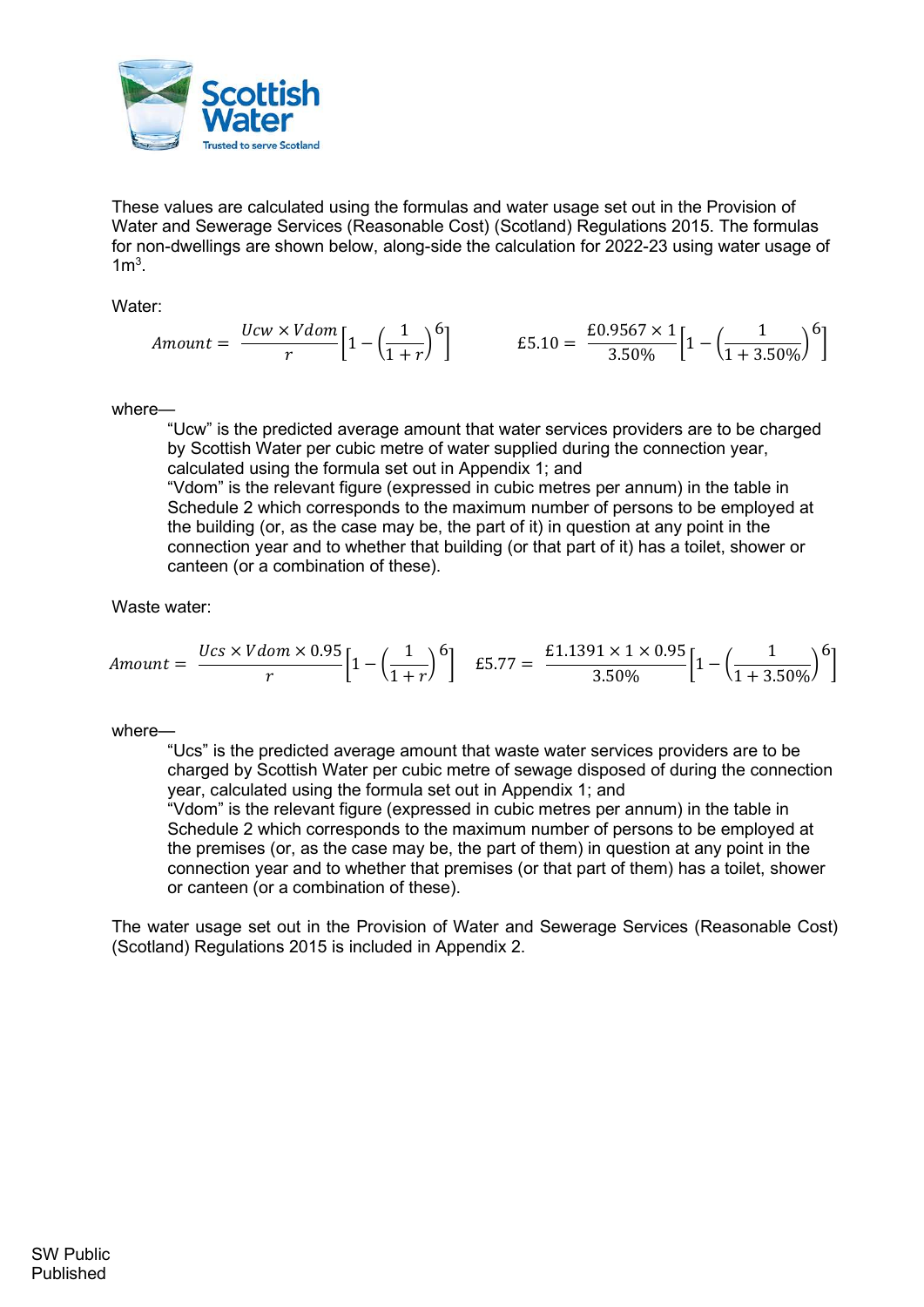

These values are calculated using the formulas and water usage set out in the Provision of Water and Sewerage Services (Reasonable Cost) (Scotland) Regulations 2015. The formulas for non-dwellings are shown below, along-side the calculation for 2022-23 using water usage of  $1m<sup>3</sup>$ .

Water:

$$
Amount = \frac{Ucw \times Vdom}{r} \left[ 1 - \left( \frac{1}{1+r} \right)^6 \right] \qquad \qquad \text{£}5.10 = \frac{\text{£}0.9567 \times 1}{3.50\%} \left[ 1 - \left( \frac{1}{1+3.50\%} \right)^6 \right]
$$

where—

"Ucw" is the predicted average amount that water services providers are to be charged by Scottish Water per cubic metre of water supplied during the connection year, calculated using the formula set out in Appendix 1; and

"Vdom" is the relevant figure (expressed in cubic metres per annum) in the table in Schedule 2 which corresponds to the maximum number of persons to be employed at the building (or, as the case may be, the part of it) in question at any point in the connection year and to whether that building (or that part of it) has a toilet, shower or canteen (or a combination of these).

Waste water:

$$
Amount = \frac{Ucs \times Vdom \times 0.95}{r} \left[ 1 - \left( \frac{1}{1+r} \right)^6 \right] \quad \text{£}5.77 = \frac{\text{£}1.1391 \times 1 \times 0.95}{3.50\%} \left[ 1 - \left( \frac{1}{1+3.50\%} \right)^6 \right]
$$

## where-

"Ucs" is the predicted average amount that waste water services providers are to be charged by Scottish Water per cubic metre of sewage disposed of during the connection year, calculated using the formula set out in Appendix 1; and

"Vdom" is the relevant figure (expressed in cubic metres per annum) in the table in Schedule 2 which corresponds to the maximum number of persons to be employed at the premises (or, as the case may be, the part of them) in question at any point in the connection year and to whether that premises (or that part of them) has a toilet, shower or canteen (or a combination of these).

The water usage set out in the Provision of Water and Sewerage Services (Reasonable Cost) (Scotland) Regulations 2015 is included in Appendix 2.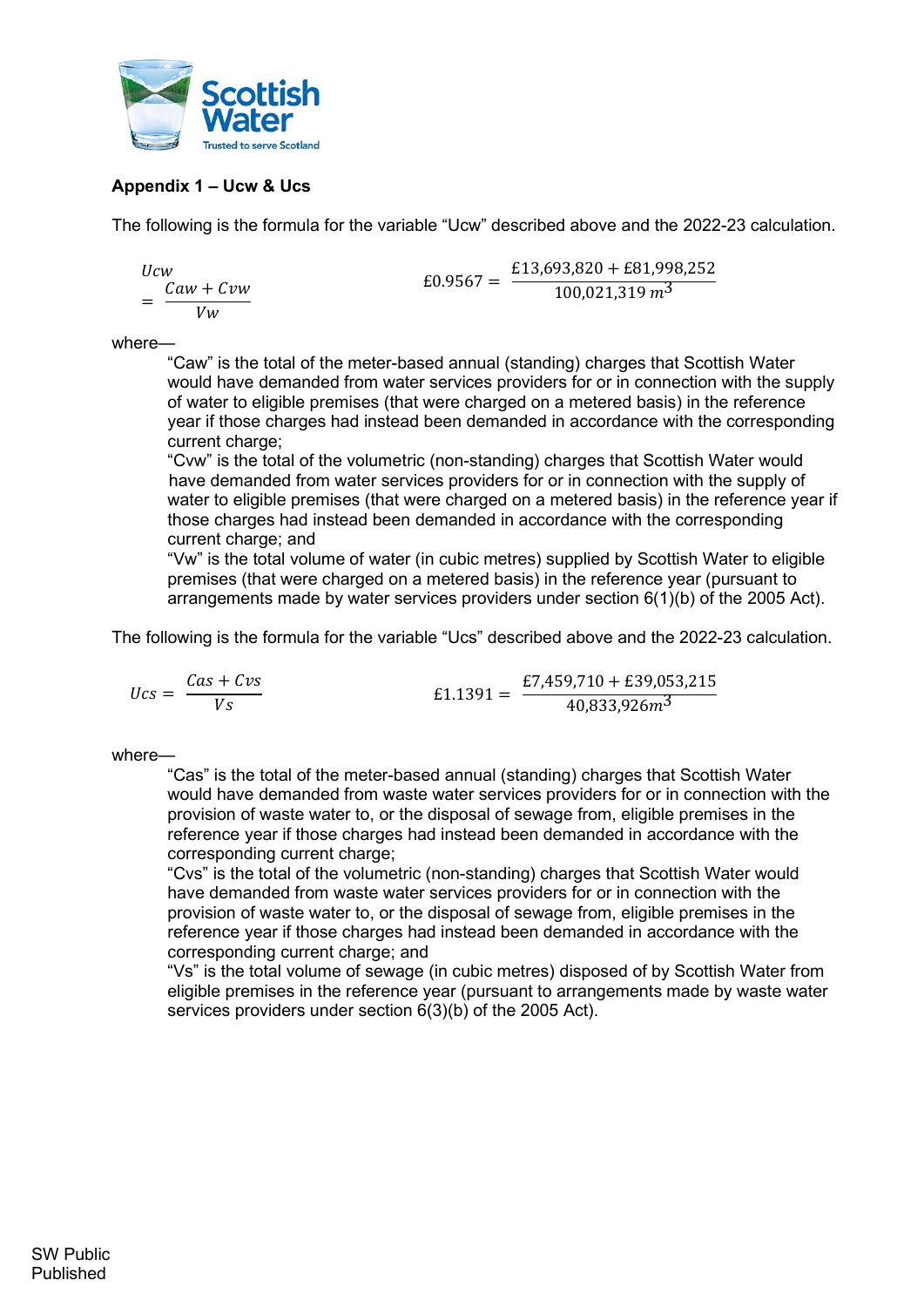

## Appendix 1 – Ucw & Ucs

The following is the formula for the variable "Ucw" described above and the 2022-23 calculation.

$$
Ucw
$$
  
=  $\frac{Caw + Cvw}{Vw}$   
= 60.9567 =  $\frac{£13,693,820 + £81,998,252}{100,021,319 m^3}$ 

where—

"Caw" is the total of the meter-based annual (standing) charges that Scottish Water would have demanded from water services providers for or in connection with the supply of water to eligible premises (that were charged on a metered basis) in the reference year if those charges had instead been demanded in accordance with the corresponding current charge:

"Cvw" is the total of the volumetric (non-standing) charges that Scottish Water would have demanded from water services providers for or in connection with the supply of water to eligible premises (that were charged on a metered basis) in the reference year if those charges had instead been demanded in accordance with the corresponding current charge; and

"Vw" is the total volume of water (in cubic metres) supplied by Scottish Water to eligible premises (that were charged on a metered basis) in the reference year (pursuant to arrangements made by water services providers under section 6(1)(b) of the 2005 Act).

The following is the formula for the variable "Ucs" described above and the 2022-23 calculation.

$$
Ucs = \frac{Cas + Cvs}{Vs}
$$
\n
$$
E1.1391 = \frac{E7,459,710 + E39,053,215}{40,833,926m^3}
$$

where—

"Cas" is the total of the meter-based annual (standing) charges that Scottish Water would have demanded from waste water services providers for or in connection with the provision of waste water to, or the disposal of sewage from, eligible premises in the reference year if those charges had instead been demanded in accordance with the corresponding current charge;

"Cvs" is the total of the volumetric (non-standing) charges that Scottish Water would have demanded from waste water services providers for or in connection with the provision of waste water to, or the disposal of sewage from, eligible premises in the reference year if those charges had instead been demanded in accordance with the corresponding current charge; and

"Vs" is the total volume of sewage (in cubic metres) disposed of by Scottish Water from eligible premises in the reference year (pursuant to arrangements made by waste water services providers under section 6(3)(b) of the 2005 Act).